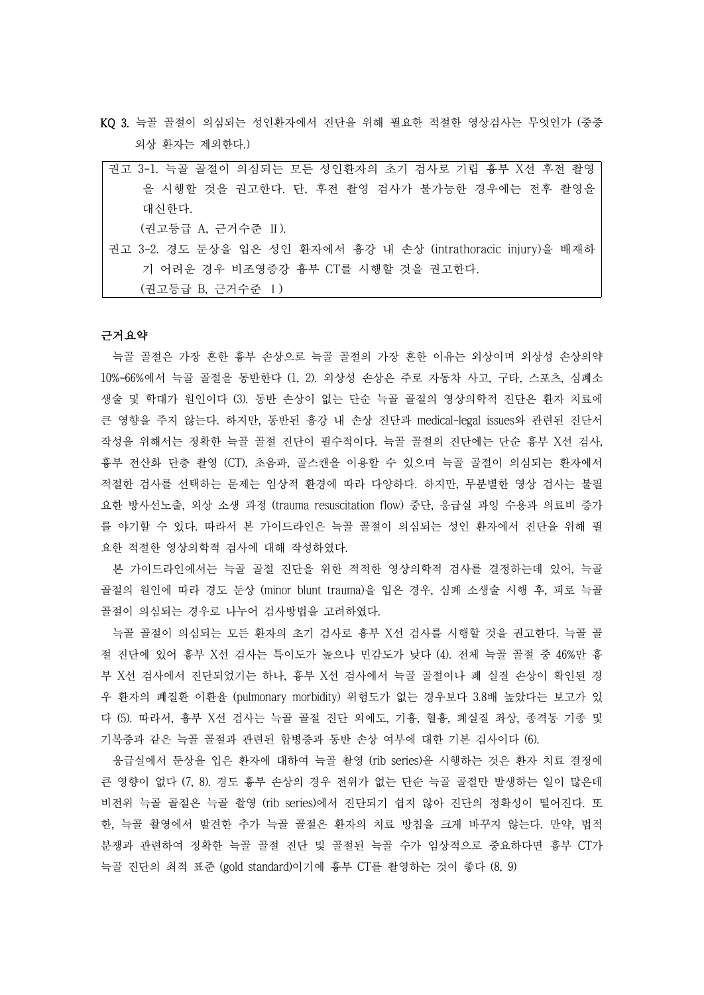KQ 3. 늑골 골절이 의심되는 성인환자에서 진단을 위해 필요한 적절한 영상검사는 무엇인가 (중증 외상 환자는 제외한다.)

| 권고 3-1. 늑골 골절이 의심되는 모든 성인환자의 초기 검사로 기립 흉부 X선 후전 촬영            |
|---------------------------------------------------------------|
| 을 시행할 것을 권고한다. 단, 후전 촬영 검사가 불가능한 경우에는 전후 촬영을                  |
| 대신한다.                                                         |
| (권고등급 A, 근거수준 II).                                            |
| 권고 3-2. 경도 둔상을 입은 성인 환자에서 흉강 내 손상 (intrathoracic injury)을 배재하 |
| 기 어려운 경우 비조영증강 흉부 CT를 시행할 것을 권고하다.                            |
| (권고등급 B, 근거수준 I)                                              |

#### 근거요약

늑골 골절은 가장 흔한 흉부 손상으로 늑골 골절의 가장 흔한 이유는 외상이며 외상성 손상의약 10%-66%에서 늑골 골절을 동반한다 (1, 2). 외상성 손상은 주로 자동차 사고, 구타, 스포츠, 심폐소 생술 및 학대가 원인이다 (3). 동반 손상이 없는 단순 늑골 골절의 영상의학적 진단은 환자 치료에 큰 영향을 주지 않는다. 하지만, 동반된 흉강 내 손상 진단과 medical-legal issues와 관련된 진단서 작성을 위해서는 정확한 늑골 골절 진단이 필수적이다. 늑골 골절의 진단에는 단순 흉부 X선 검사,<br>흉부 전산화 단층 촬영 (CT), 초음파, 골스캔을 이용할 수 있으며 늑골 골절이 의심되는 환자에서 적절한 검사를 선택하는 문제는 임상적 환경에 따라 다양하다. 하지만, 무분별한 영상 검사는 불필 요한 방사선노출, 외상 소생 과정 (trauma resuscitation flow) 중단, 응급실 과잉 수용과 의료비 증가 를 야기할 수 있다. 따라서 본 가이드라인은 늑골 골절이 의심되는 성인 환자에서 진단을 위해 필 요한 적절한 영상의학적 검사에 대해 작성하였다.

본 가이드라인에서는 늑골 골절 진단을 위한 적적한 영상의학적 검사를 결정하는데 있어, 늑골 골절의 원인에 따라 경도 둔상 (minor blunt trauma)을 입은 경우, 심폐 소생술 시행 후, 피로 늑골 골절이 의심되는 경우로 나누어 검사방법을 고려하였다.

늑골 골절이 의심되는 모든 환자의 초기 검사로 흉부 X선 검사를 시행할 것을 권고한다. 늑골 골 절 진단에 있어 흉부 X선 검사는 특이도가 높으나 민감도가 낮다 (4). 전체 늑골 골절 중 46%만 흉 부 X선 검사에서 진단되었기는 하나, 흉부 X선 검사에서 늑골 골절이나 폐 실질 손상이 확인된 경 우 환자의 폐질환 이환율 (pulmonary morbidity) 위험도가 없는 경우보다 3.8배 높았다는 보고가 있 다 (5). 따라서, 흉부 X선 검사는 늑골 골절 진단 외에도, 기흉, 혈흉, 폐실질 좌상, 종격동 기종 및 기복증과 같은 늑골 골절과 관련된 합병증과 동반 손상 여부에 대한 기본 검사이다 (6).

응급실에서 둔상을 입은 환자에 대하여 늑골 촬영 (rib series)을 시행하는 것은 환자 치료 결정에 큰 영향이 없다 (7, 8). 경도 흉부 손상의 경우 전위가 없는 단순 늑골 골절만 발생하는 일이 많은데 비전위 늑골 골절은 늑골 촬영 (rib series)에서 진단되기 쉽지 않아 진단의 정확성이 떨어진다. 또 한, 늑골 촬영에서 발견한 추가 늑골 골절은 환자의 치료 방침을 크게 바꾸지 않는다. 만약, 법적 분쟁과 관련하여 정확한 늑골 골절 진단 및 골절된 늑골 수가 임상적으로 중요하다면 흉부 CT가 늑골 진단의 최적 표준 (gold standard)이기에 흉부 CT를 촬영하는 것이 좋다 (8, 9)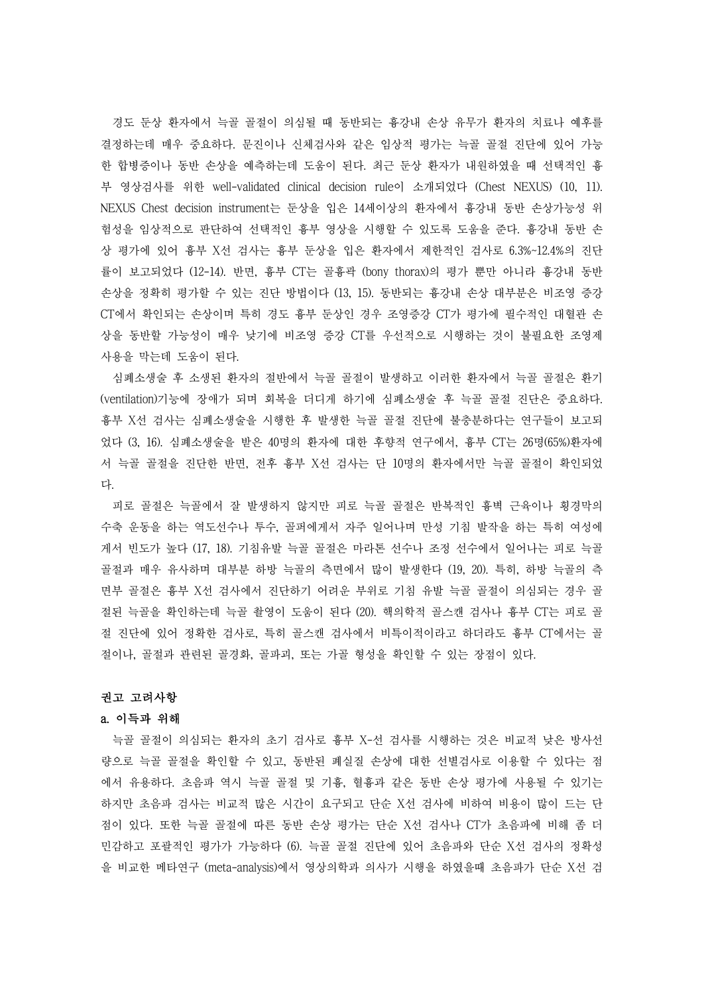경도 둔상 환자에서 늑골 골절이 의심될 때 동반되는 흉강내 손상 유무가 환자의 치료나 예후를 결정하는데 매우 중요하다. 문진이나 신체검사와 같은 임상적 평가는 늑골 골절 진단에 있어 가능 한 합병증이나 동반 손상을 예측하는데 도움이 된다. 최근 둔상 환자가 내원하였을 때 선택적인 흉 부 영상검사를 위한 well-validated clinical decision rule이 소개되었다 (Chest NEXUS) (10, 11). NEXUS Chest decision instrument는 둔상을 입은 14세이상의 환자에서 흉강내 동반 손상가능성 위 험성을 임상적으로 판단하여 선택적인 흉부 영상을 시행할 수 있도록 도움을 준다. 흉강내 동반 손 상 평가에 있어 흉부 X선 검사는 흉부 둔상을 입은 환자에서 제한적인 검사로 6.3%~12.4%의 진단 률이 보고되었다 (12-14). 반면, 흉부 CT는 골흉곽 (bony thorax)의 평가 뿐만 아니라 흉강내 동반 손상을 정확히 평가할 수 있는 진단 방법이다 (13, 15). 동반되는 흉강내 손상 대부분은 비조영 증강 CT에서 확인되는 손상이며 특히 경도 흉부 둔상인 경우 조영증강 CT가 평가에 필수적인 대혈관 손 상을 동반할 가능성이 매우 낮기에 비조영 증강 CT를 우선적으로 시행하는 것이 불필요한 조영제 사용을 막는데 도움이 된다.

심폐소생술 후 소생된 환자의 절반에서 늑골 골절이 발생하고 이러한 환자에서 늑골 골절은 환기 (ventilation)기능에 장애가 되며 회복을 더디게 하기에 심폐소생술 후 늑골 골절 진단은 중요하다.<br>흉부 X선 검사는 심폐소생술을 시행한 후 발생한 늑골 골절 진단에 불충분하다는 연구들이 보고되 었다 (3, 16). 심폐소생술을 받은 40명의 환자에 대한 후향적 연구에서, 흉부 CT는 26명(65%)환자에 서 늑골 골절을 진단한 반면, 전후 흉부 X선 검사는 단 10명의 환자에서만 늑골 골절이 확인되었 다.<br>-<br>- 피로 골절은 늑골에서 잘 발생하지 않지만 피로 늑골 골절은 반복적인 흉벽 근육이나 횡경막의

수축 운동을 하는 역도선수나 투수, 골퍼에게서 자주 일어나며 만성 기침 발작을 하는 특히 여성에 게서 빈도가 높다 (17, 18). 기침유발 늑골 골절은 마라톤 선수나 조정 선수에서 일어나는 피로 늑골 골절과 매우 유사하며 대부분 하방 늑골의 측면에서 많이 발생한다 (19, 20). 특히, 하방 늑골의 측 면부 골절은 흉부 X선 검사에서 진단하기 어려운 부위로 기침 유발 늑골 골절이 의심되는 경우 골 절된 늑골을 확인하는데 늑골 촬영이 도움이 된다 (20). 핵의학적 골스캔 검사나 흉부 CT는 피로 골 절 진단에 있어 정확한 검사로, 특히 골스캔 검사에서 비특이적이라고 하더라도 흉부 CT에서는 골 절이나, 골절과 관련된 골경화, 골파괴, 또는 가골 형성을 확인할 수 있는 장점이 있다.

### 권고 고려사항

#### a. 이득과 위해

늑골 골절이 의심되는 환자의 초기 검사로 흉부 X-선 검사를 시행하는 것은 비교적 낮은 방사선 량으로 늑골 골절을 확인할 수 있고, 동반된 폐실질 손상에 대한 선별검사로 이용할 수 있다는 점 에서 유용하다. 초음파 역시 늑골 골절 및 기흉, 혈흉과 같은 동반 손상 평가에 사용될 수 있기는 하지만 초음파 검사는 비교적 많은 시간이 요구되고 단순 X선 검사에 비하여 비용이 많이 드는 단 점이 있다. 또한 늑골 골절에 따른 동반 손상 평가는 단순 X선 검사나 CT가 초음파에 비해 좀 더 민감하고 포괄적인 평가가 가능하다 (6). 늑골 골절 진단에 있어 초음파와 단순 X선 검사의 정확성 을 비교한 메타연구 (meta-analysis)에서 영상의학과 의사가 시행을 하였을때 초음파가 단순 X선 검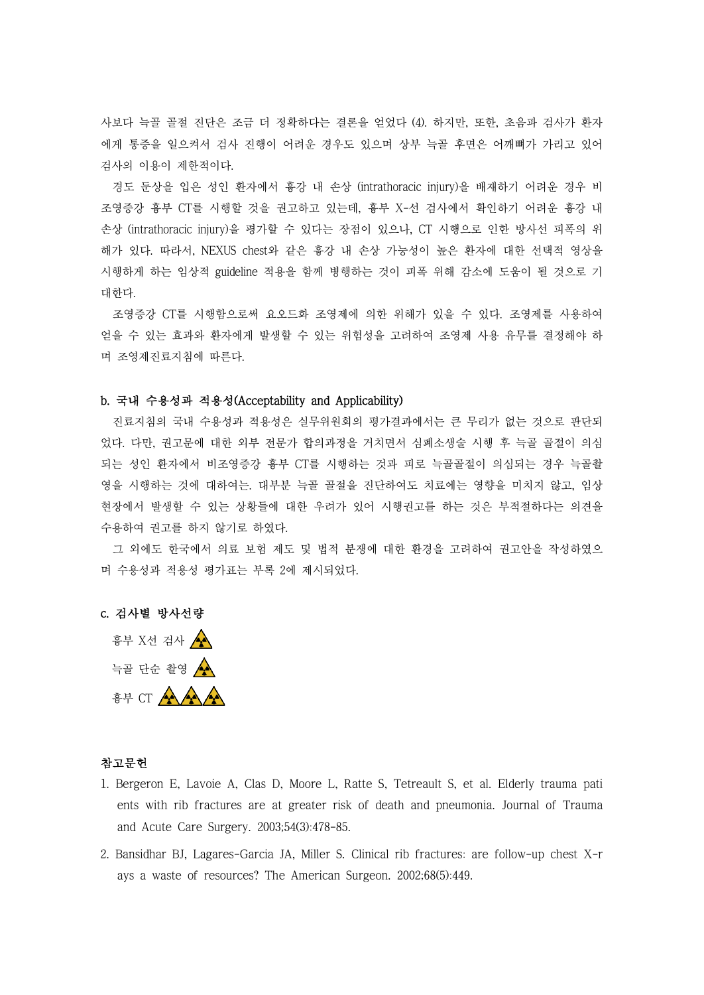사보다 늑골 골절 진단은 조금 더 정확하다는 결론을 얻었다 (4). 하지만, 또한, 초음파 검사가 환자 에게 통증을 일으켜서 검사 진행이 어려운 경우도 있으며 상부 늑골 후면은 어깨뼈가 가리고 있어 검사의 이용이 제한적이다.

경도 둔상을 입은 성인 환자에서 흉강 내 손상 (intrathoracic injury)을 배재하기 어려운 경우 비 조영증강 흉부 CT를 시행할 것을 권고하고 있는데, 흉부 X-선 검사에서 확인하기 어려운 흉강 내 손상 (intrathoracic injury)을 평가할 수 있다는 장점이 있으나, CT 시행으로 인한 방사선 피폭의 위 해가 있다. 따라서, NEXUS chest와 같은 흉강 내 손상 가능성이 높은 환자에 대한 선택적 영상을 시행하게 하는 임상적 guideline 적용을 함께 병행하는 것이 피폭 위해 감소에 도움이 될 것으로 기 대한다.

조영증강 CT를 시행함으로써 요오드화 조영제에 의한 위해가 있을 수 있다. 조영제를 사용하여 얻을 수 있는 효과와 환자에게 발생할 수 있는 위험성을 고려하여 조영제 사용 유무를 결정해야 하 며 조영제진료지침에 따른다.

# b. 국내 수용성과 적용성(Acceptability and Applicability)

진료지침의 국내 수용성과 적용성은 실무위원회의 평가결과에서는 큰 무리가 없는 것으로 판단되 었다. 다만, 권고문에 대한 외부 전문가 합의과정을 거치면서 심폐소생술 시행 후 늑골 골절이 의심 되는 성인 환자에서 비조영증강 흉부 CT를 시행하는 것과 피로 늑골골절이 의심되는 경우 늑골촬 영을 시행하는 것에 대하여는. 대부분 늑골 골절을 진단하여도 치료에는 영향을 미치지 않고, 임상 현장에서 발생할 수 있는 상황들에 대한 우려가 있어 시행권고를 하는 것은 부적절하다는 의견을 수용하여 권고를 하지 않기로 하였다.<br>-<br>- 그 외에도 한국에서 의료 보험 제도 및 법적 분쟁에 대한 환경을 고려하여 권고안을 작성하였으

며 수용성과 적용성 평가표는 부록 2에 제시되었다.

# c. 검사별 방사선량

 흉부 X선 검사 늑골 단순 촬영 ▲ 흉부 CT  $\left(\frac{1}{2}\right)^{n}$ 

## 참고문헌

- 1. Bergeron E, Lavoie A, Clas D, Moore L, Ratte S, Tetreault S, et al. Elderly trauma pati ents with rib fractures are at greater risk of death and pneumonia. Journal of Trauma and Acute Care Surgery. 2003;54(3):478-85.
- 2. Bansidhar BJ, Lagares-Garcia JA, Miller S. Clinical rib fractures: are follow-up chest X-r ays a waste of resources? The American Surgeon. 2002;68(5):449.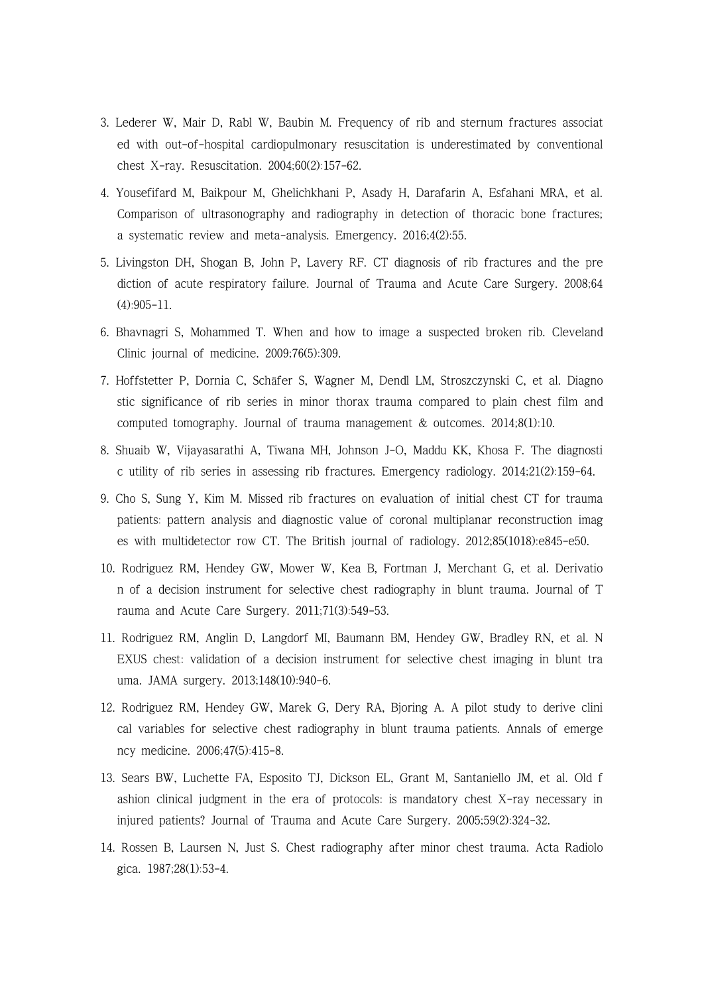- 3. Lederer W, Mair D, Rabl W, Baubin M. Frequency of rib and sternum fractures associat ed with out-of-hospital cardiopulmonary resuscitation is underestimated by conventional chest X-ray. Resuscitation. 2004;60(2):157-62.
- 4. Yousefifard M, Baikpour M, Ghelichkhani P, Asady H, Darafarin A, Esfahani MRA, et al. Comparison of ultrasonography and radiography in detection of thoracic bone fractures; a systematic review and meta-analysis. Emergency. 2016;4(2):55.
- 5. Livingston DH, Shogan B, John P, Lavery RF. CT diagnosis of rib fractures and the pre diction of acute respiratory failure. Journal of Trauma and Acute Care Surgery. 2008;64 (4):905-11.
- 6. Bhavnagri S, Mohammed T. When and how to image a suspected broken rib. Cleveland Clinic journal of medicine. 2009;76(5):309.
- 7. Hoffstetter P, Dornia C, Schäfer S, Wagner M, Dendl LM, Stroszczynski C, et al. Diagno stic significance of rib series in minor thorax trauma compared to plain chest film and computed tomography. Journal of trauma management & outcomes. 2014;8(1):10.
- 8. Shuaib W, Vijayasarathi A, Tiwana MH, Johnson J-O, Maddu KK, Khosa F. The diagnosti c utility of rib series in assessing rib fractures. Emergency radiology. 2014;21(2):159-64.
- 9. Cho S, Sung Y, Kim M. Missed rib fractures on evaluation of initial chest CT for trauma patients: pattern analysis and diagnostic value of coronal multiplanar reconstruction imag es with multidetector row CT. The British journal of radiology. 2012;85(1018):e845-e50.
- 10. Rodriguez RM, Hendey GW, Mower W, Kea B, Fortman J, Merchant G, et al. Derivatio n of a decision instrument for selective chest radiography in blunt trauma. Journal of T rauma and Acute Care Surgery. 2011;71(3):549-53.
- 11. Rodriguez RM, Anglin D, Langdorf MI, Baumann BM, Hendey GW, Bradley RN, et al. N EXUS chest: validation of a decision instrument for selective chest imaging in blunt tra uma. JAMA surgery. 2013;148(10):940-6.
- 12. Rodriguez RM, Hendey GW, Marek G, Dery RA, Bjoring A. A pilot study to derive clini cal variables for selective chest radiography in blunt trauma patients. Annals of emerge ncy medicine. 2006;47(5):415-8.
- 13. Sears BW, Luchette FA, Esposito TJ, Dickson EL, Grant M, Santaniello JM, et al. Old f ashion clinical judgment in the era of protocols: is mandatory chest X-ray necessary in injured patients? Journal of Trauma and Acute Care Surgery. 2005;59(2):324-32.
- 14. Rossen B, Laursen N, Just S. Chest radiography after minor chest trauma. Acta Radiolo gica. 1987;28(1):53-4.